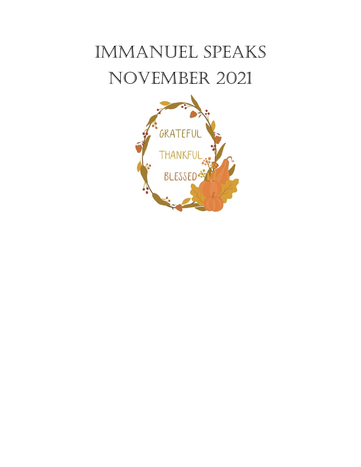# IMMANUEL SPEAKS NovEMbEr 2021

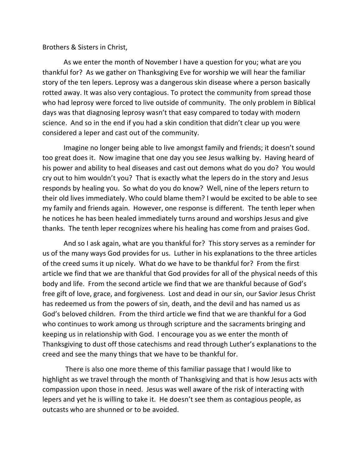## Brothers & Sisters in Christ,

 As we enter the month of November I have a question for you; what are you thankful for? As we gather on Thanksgiving Eve for worship we will hear the familiar story of the ten lepers. Leprosy was a dangerous skin disease where a person basically rotted away. It was also very contagious. To protect the community from spread those who had leprosy were forced to live outside of community. The only problem in Biblical days was that diagnosing leprosy wasn't that easy compared to today with modern science. And so in the end if you had a skin condition that didn't clear up you were considered a leper and cast out of the community.

 Imagine no longer being able to live amongst family and friends; it doesn't sound too great does it. Now imagine that one day you see Jesus walking by. Having heard of his power and ability to heal diseases and cast out demons what do you do? You would cry out to him wouldn't you? That is exactly what the lepers do in the story and Jesus responds by healing you. So what do you do know? Well, nine of the lepers return to their old lives immediately. Who could blame them? I would be excited to be able to see my family and friends again. However, one response is different. The tenth leper when he notices he has been healed immediately turns around and worships Jesus and give thanks. The tenth leper recognizes where his healing has come from and praises God.

 And so I ask again, what are you thankful for? This story serves as a reminder for us of the many ways God provides for us. Luther in his explanations to the three articles of the creed sums it up nicely. What do we have to be thankful for? From the first article we find that we are thankful that God provides for all of the physical needs of this body and life. From the second article we find that we are thankful because of God's free gift of love, grace, and forgiveness. Lost and dead in our sin, our Savior Jesus Christ has redeemed us from the powers of sin, death, and the devil and has named us as God's beloved children. From the third article we find that we are thankful for a God who continues to work among us through scripture and the sacraments bringing and keeping us in relationship with God. I encourage you as we enter the month of Thanksgiving to dust off those catechisms and read through Luther's explanations to the creed and see the many things that we have to be thankful for.

 There is also one more theme of this familiar passage that I would like to highlight as we travel through the month of Thanksgiving and that is how Jesus acts with compassion upon those in need. Jesus was well aware of the risk of interacting with lepers and yet he is willing to take it. He doesn't see them as contagious people, as outcasts who are shunned or to be avoided.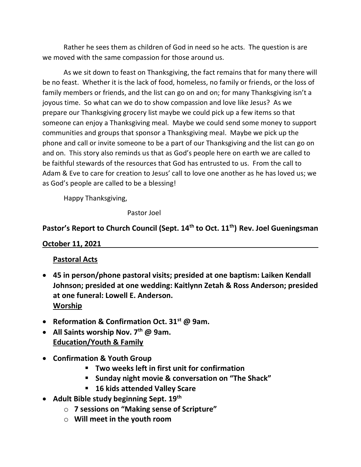Rather he sees them as children of God in need so he acts. The question is are we moved with the same compassion for those around us.

 As we sit down to feast on Thanksgiving, the fact remains that for many there will be no feast. Whether it is the lack of food, homeless, no family or friends, or the loss of family members or friends, and the list can go on and on; for many Thanksgiving isn't a joyous time. So what can we do to show compassion and love like Jesus? As we prepare our Thanksgiving grocery list maybe we could pick up a few items so that someone can enjoy a Thanksgiving meal. Maybe we could send some money to support communities and groups that sponsor a Thanksgiving meal. Maybe we pick up the phone and call or invite someone to be a part of our Thanksgiving and the list can go on and on. This story also reminds us that as God's people here on earth we are called to be faithful stewards of the resources that God has entrusted to us. From the call to Adam & Eve to care for creation to Jesus' call to love one another as he has loved us; we as God's people are called to be a blessing!

Happy Thanksgiving,

Pastor Joel

# Pastor's Report to Church Council (Sept. 14<sup>th</sup> to Oct. 11<sup>th</sup>) Rev. Joel Gueningsman

# October 11, 2021

# Pastoral Acts

- 45 in person/phone pastoral visits; presided at one baptism: Laiken Kendall Johnson; presided at one wedding: Kaitlynn Zetah & Ross Anderson; presided at one funeral: Lowell E. Anderson. Worship
- Reformation & Confirmation Oct.  $31^{st}$  @ 9am.
- All Saints worship Nov.  $7<sup>th</sup>$  @ 9am. Education/Youth & Family
- Confirmation & Youth Group
	- Two weeks left in first unit for confirmation
	- **E** Sunday night movie & conversation on "The Shack"
	- 16 kids attended Valley Scare
- Adult Bible study beginning Sept. 19<sup>th</sup>
	- o 7 sessions on "Making sense of Scripture"
	- $\circ$  Will meet in the youth room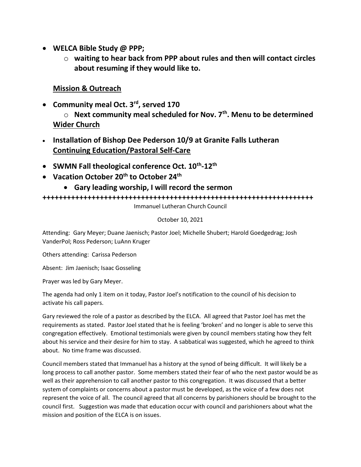- WELCA Bible Study @ PPP;
	- $\circ$  waiting to hear back from PPP about rules and then will contact circles about resuming if they would like to.

# Mission & Outreach

• Community meal Oct. 3<sup>rd</sup>, served 170

 $\circ$  Next community meal scheduled for Nov. 7<sup>th</sup>. Menu to be determined Wider Church

- Installation of Bishop Dee Pederson 10/9 at Granite Falls Lutheran Continuing Education/Pastoral Self-Care
- SWMN Fall theological conference Oct.  $10^{th}$ - $12^{th}$
- Vacation October 20<sup>th</sup> to October 24<sup>th</sup>
	- Gary leading worship, I will record the sermon

++++++++++++++++++++++++++++++++++++++++++++++++++++++++++++++++++

Immanuel Lutheran Church Council

## October 10, 2021

Attending: Gary Meyer; Duane Jaenisch; Pastor Joel; Michelle Shubert; Harold Goedgedrag; Josh VanderPol; Ross Pederson; LuAnn Kruger

Others attending: Carissa Pederson

Absent: Jim Jaenisch; Isaac Gosseling

Prayer was led by Gary Meyer.

The agenda had only 1 item on it today, Pastor Joel's notification to the council of his decision to activate his call papers.

Gary reviewed the role of a pastor as described by the ELCA. All agreed that Pastor Joel has met the requirements as stated. Pastor Joel stated that he is feeling 'broken' and no longer is able to serve this congregation effectively. Emotional testimonials were given by council members stating how they felt about his service and their desire for him to stay. A sabbatical was suggested, which he agreed to think about. No time frame was discussed.

Council members stated that Immanuel has a history at the synod of being difficult. It will likely be a long process to call another pastor. Some members stated their fear of who the next pastor would be as well as their apprehension to call another pastor to this congregation. It was discussed that a better system of complaints or concerns about a pastor must be developed, as the voice of a few does not represent the voice of all. The council agreed that all concerns by parishioners should be brought to the council first. Suggestion was made that education occur with council and parishioners about what the mission and position of the ELCA is on issues.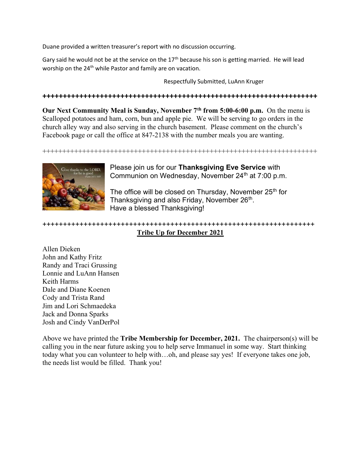Duane provided a written treasurer's report with no discussion occurring.

Gary said he would not be at the service on the  $17<sup>th</sup>$  because his son is getting married. He will lead worship on the 24<sup>th</sup> while Pastor and family are on vacation.

Respectfully Submitted, LuAnn Kruger

+++++++++++++++++++++++++++++++++++++++++++++++++++++++++++++++++++

Our Next Community Meal is Sunday, November  $7<sup>th</sup>$  from 5:00-6:00 p.m. On the menu is Scalloped potatoes and ham, corn, bun and apple pie. We will be serving to go orders in the church alley way and also serving in the church basement. Please comment on the church's Facebook page or call the office at 847-2138 with the number meals you are wanting.

+++++++++++++++++++++++++++++++++++++++++++++++++++++++++++++++++++++



Please join us for our Thanksgiving Eve Service with Communion on Wednesday, November  $24<sup>th</sup>$  at  $7:00$  p.m.

The office will be closed on Thursday, November 25<sup>th</sup> for Thanksgiving and also Friday, November 26<sup>th</sup>. Have a blessed Thanksgiving!

## ++++++++++++++++++++++++++++++++++++++++++++++++++++++++++++++++++ Tribe Up for December 2021

Allen Dieken John and Kathy Fritz Randy and Traci Grussing Lonnie and LuAnn Hansen Keith Harms Dale and Diane Koenen Cody and Trista Rand Jim and Lori Schmaedeka Jack and Donna Sparks Josh and Cindy VanDerPol

Above we have printed the **Tribe Membership for December, 2021.** The chairperson(s) will be calling you in the near future asking you to help serve Immanuel in some way. Start thinking today what you can volunteer to help with…oh, and please say yes! If everyone takes one job, the needs list would be filled. Thank you!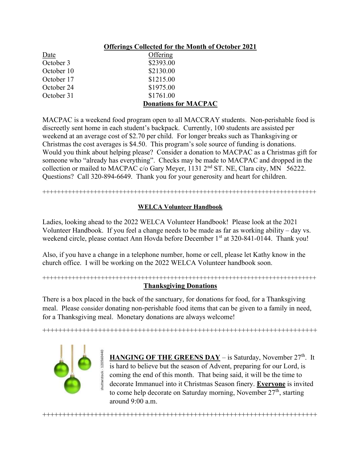|            | <b>Offerings Collected for the Month of October 2021</b> |
|------------|----------------------------------------------------------|
| Date       | Offering                                                 |
| October 3  | \$2393.00                                                |
| October 10 | \$2130.00                                                |
| October 17 | \$1215.00                                                |
| October 24 | \$1975.00                                                |
| October 31 | \$1761.00                                                |
|            | <b>Donations for MACPAC</b>                              |

MACPAC is a weekend food program open to all MACCRAY students. Non-perishable food is discreetly sent home in each student's backpack. Currently, 100 students are assisted per weekend at an average cost of \$2.70 per child. For longer breaks such as Thanksgiving or Christmas the cost averages is \$4.50. This program's sole source of funding is donations. Would you think about helping please? Consider a donation to MACPAC as a Christmas gift for someone who "already has everything". Checks may be made to MACPAC and dropped in the collection or mailed to MACPAC c/o Gary Meyer, 1131 2<sup>nd</sup> ST. NE, Clara city, MN 56222. Questions? Call 320-894-6649. Thank you for your generosity and heart for children.

#### +++++++++++++++++++++++++++++++++++++++++++++++++++++++++++++++++++++++++++

### WELCA Volunteer Handbook

Ladies, looking ahead to the 2022 WELCA Volunteer Handbook! Please look at the 2021 Volunteer Handbook. If you feel a change needs to be made as far as working ability – day vs. weekend circle, please contact Ann Hovda before December 1<sup>st</sup> at 320-841-0144. Thank you!

Also, if you have a change in a telephone number, home or cell, please let Kathy know in the church office. I will be working on the 2022 WELCA Volunteer handbook soon.

### +++++++++++++++++++++++++++++++++++++++++++++++++++++++++++++++++++++++++++ Thanksgiving Donations

There is a box placed in the back of the sanctuary, for donations for food, for a Thanksgiving meal. Please consider donating non-perishable food items that can be given to a family in need, for a Thanksgiving meal. Monetary donations are always welcome!

+++++++++++++++++++++++++++++++++++++++++++++++++++++++++++++++++++++

+++++++++++++++++++++++++++++++++++++++++++++++++++++++++++++++++++++



HANGING OF THE GREENS DAY - is Saturday, November 27<sup>th</sup>. It is hard to believe but the season of Advent, preparing for our Lord, is coming the end of this month. That being said, it will be the time to decorate Immanuel into it Christmas Season finery. Everyone is invited to come help decorate on Saturday morning, November  $27<sup>th</sup>$ , starting around 9:00 a.m.